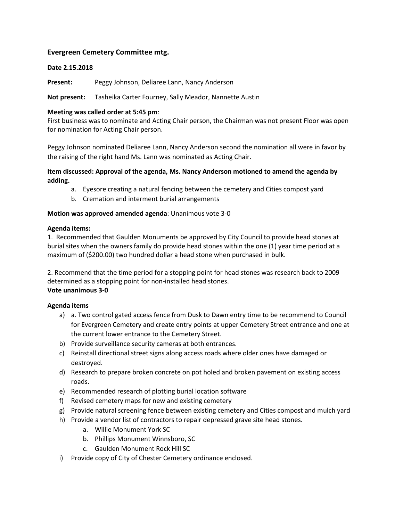# **Evergreen Cemetery Committee mtg.**

### **Date 2.15.2018**

Present: Peggy Johnson, Deliaree Lann, Nancy Anderson

**Not present:** Tasheika Carter Fourney, Sally Meador, Nannette Austin

### **Meeting was called order at 5:45 pm**:

First business was to nominate and Acting Chair person, the Chairman was not present Floor was open for nomination for Acting Chair person.

Peggy Johnson nominated Deliaree Lann, Nancy Anderson second the nomination all were in favor by the raising of the right hand Ms. Lann was nominated as Acting Chair.

## **Item discussed: Approval of the agenda, Ms. Nancy Anderson motioned to amend the agenda by adding.**

- a. Eyesore creating a natural fencing between the cemetery and Cities compost yard
- b. Cremation and interment burial arrangements

## **Motion was approved amended agenda**: Unanimous vote 3-0

#### **Agenda items:**

1. Recommended that Gaulden Monuments be approved by City Council to provide head stones at burial sites when the owners family do provide head stones within the one (1) year time period at a maximum of (\$200.00) two hundred dollar a head stone when purchased in bulk.

2. Recommend that the time period for a stopping point for head stones was research back to 2009 determined as a stopping point for non-installed head stones. **Vote unanimous 3-0**

# **Agenda items**

- a) a. Two control gated access fence from Dusk to Dawn entry time to be recommend to Council for Evergreen Cemetery and create entry points at upper Cemetery Street entrance and one at the current lower entrance to the Cemetery Street.
- b) Provide surveillance security cameras at both entrances.
- c) Reinstall directional street signs along access roads where older ones have damaged or destroyed.
- d) Research to prepare broken concrete on pot holed and broken pavement on existing access roads.
- e) Recommended research of plotting burial location software
- f) Revised cemetery maps for new and existing cemetery
- g) Provide natural screening fence between existing cemetery and Cities compost and mulch yard
- h) Provide a vendor list of contractors to repair depressed grave site head stones.
	- a. Willie Monument York SC
	- b. Phillips Monument Winnsboro, SC
	- c. Gaulden Monument Rock Hill SC
- i) Provide copy of City of Chester Cemetery ordinance enclosed.